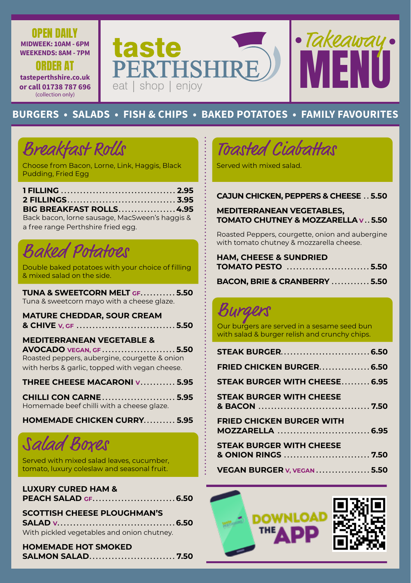

### **BURGERS • SALADS • FISH & CHIPS • BAKED POTATOES • FAMILY FAVOURITES**

# **Breakfast Rolls**

**OPEN DAILY** 

**ORDER AT** 

(collection only)

Choose from Bacon, Lorne, Link, Haggis, Black Pudding, Fried Egg

| BIG BREAKFAST ROLLS 4.95                       |  |
|------------------------------------------------|--|
| Back bacon, lorne sausage, MacSween's haggis & |  |

a free range Perthshire fried egg. *Baked Potatoes* 

Double baked potatoes with your choice of filling & mixed salad on the side.

TUNA & SWEETCORN MELT GF...........5.50 Tuna & sweetcorn mayo with a cheese glaze.

**MATURE CHEDDAR, SOUR CREAM** 

### **MEDITERRANEAN VEGETABLE &**

AVOCADO VEGAN, GF. . . . . . . . . . . . . . . . . .  $5.50$ Roasted peppers, aubergine, courgette & onion with herbs & garlic, topped with vegan cheese.

THREE CHEESE MACARONI V. . . . . . . . . 5.95

**CHILLI CON CARNE.......................5.95** Homemade beef chilli with a cheese glaze.

HOMEMADE CHICKEN CURRY..........5.95

## Salad Boxes

Served with mixed salad leaves, cucumber, tomato, luxury coleslaw and seasonal fruit.

| <b>LUXURY CURED HAM &amp;</b> |  |
|-------------------------------|--|
|                               |  |

### **SCOTTISH CHEESE PLOUGHMAN'S**

With pickled vegetables and onion chutney.

**HOMEMADE HOT SMOKED SALMON SALAD............................7.50** 

Toasted Ciabattas

Served with mixed salad.

### **CAJUN CHICKEN, PEPPERS & CHEESE .. 5.50**

### **MEDITERRANEAN VEGETABLES.** TOMATO CHUTNEY & MOZZARELLA v 5.50

Roasted Peppers, courgette, onion and aubergine with tomato chutney & mozzarella cheese.

| <b>HAM, CHEESE &amp; SUNDRIED</b> |                          |  |
|-----------------------------------|--------------------------|--|
|                                   | <b>TOMATO PESTO 5.50</b> |  |

BACON, BRIE & CRANBERRY ............. 5.50

Our burgers are served in a sesame seed bun with salad & burger relish and crunchy chips.

| FRIED CHICKEN BURGER6.50         |  |
|----------------------------------|--|
| STEAK BURGER WITH CHEESE 6.95    |  |
| <b>STEAK BURGER WITH CHEESE</b>  |  |
| <b>FRIED CHICKEN BURGER WITH</b> |  |
| <b>STEAK BURGER WITH CHEESE</b>  |  |
| VEGAN BURGER V, VEGAN 5.50       |  |